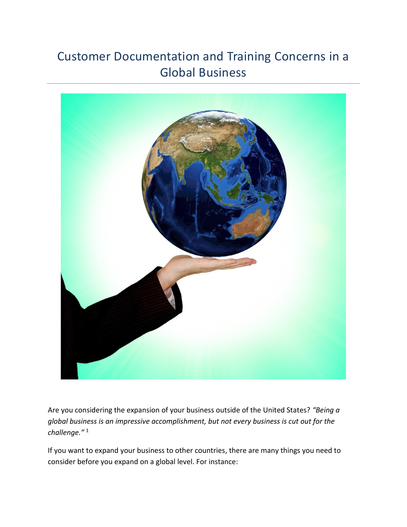## Customer Documentation and Training Concerns in a Global Business



Are you considering the expansion of your business outside of the United States? *"Being a global business is an impressive accomplishment, but not every business is cut out for the challenge."* <sup>1</sup>

If you want to expand your business to other countries, there are many things you need to consider before you expand on a global level. For instance: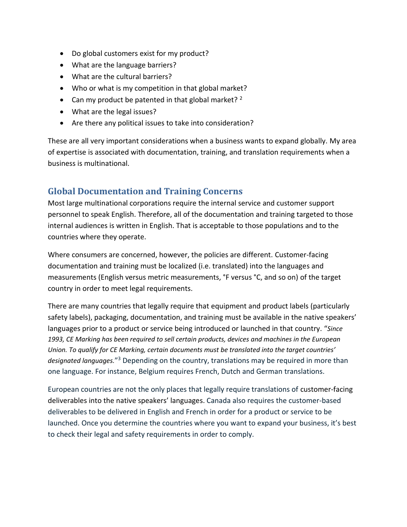- Do global customers exist for my product?
- What are the language barriers?
- What are the cultural barriers?
- Who or what is my competition in that global market?
- Can my product be patented in that global market?  $2^2$
- What are the legal issues?
- Are there any political issues to take into consideration?

These are all very important considerations when a business wants to expand globally. My area of expertise is associated with documentation, training, and translation requirements when a business is multinational.

## **Global Documentation and Training Concerns**

Most large multinational corporations require the internal service and customer support personnel to speak English. Therefore, all of the documentation and training targeted to those internal audiences is written in English. That is acceptable to those populations and to the countries where they operate.

Where consumers are concerned, however, the policies are different. Customer-facing documentation and training must be localized (i.e. translated) into the languages and measurements (English versus metric measurements, °F versus °C, and so on) of the target country in order to meet legal requirements.

There are many countries that legally require that equipment and product labels (particularly safety labels), packaging, documentation, and training must be available in the native speakers' languages prior to a product or service being introduced or launched in that country. "*Since 1993, CE Marking has been required to sell certain products, devices and machines in the European Union. To qualify for CE Marking, certain documents must be translated into the target countries' designated languages.*" <sup>3</sup> Depending on the country, translations may be required in more than one language. For instance, Belgium requires French, Dutch and German translations.

European countries are not the only places that legally require translations of customer-facing deliverables into the native speakers' languages. Canada also requires the customer-based deliverables to be delivered in English and French in order for a product or service to be launched. Once you determine the countries where you want to expand your business, it's best to check their legal and safety requirements in order to comply.